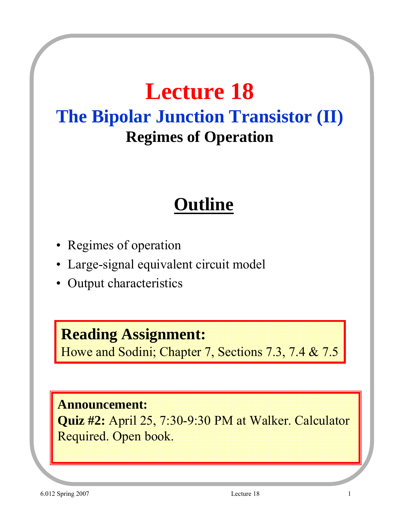# **Lecture 18 The Bipolar Junction Transistor (II) Regimes of Operation**

## **Outline**

- Regimes of operation
- Large-signal equivalent circuit model
- Output characteristics

#### **Reading Assignment:**

Howe and Sodini; Chapter 7, Sections 7.3, 7.4 & 7.5

#### **Announcement:**

**Quiz #2:** April 25, 7:30-9:30 PM at Walker. Calculator Required. Open book.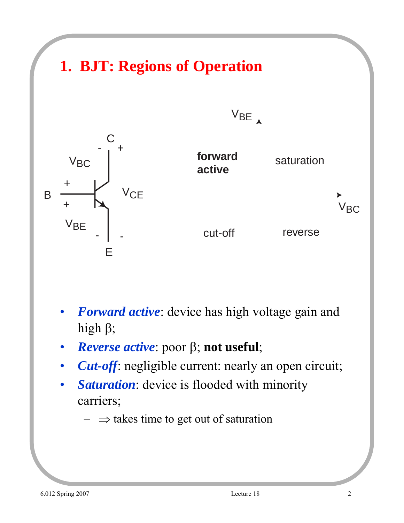

- *Forward active*: device has high voltage gain and high β;
- *Reverse active*: poor β; **not useful**;
- *Cut-off:* negligible current: nearly an open circuit;
- Saturation: device is flooded with minority carriers;
	- $\Rightarrow$  takes time to get out of saturation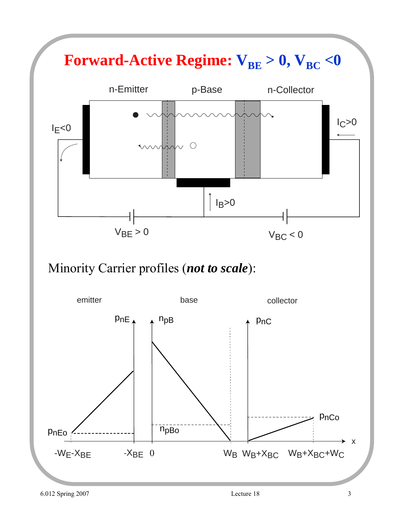

#### Minority Carrier profiles (*not to scale*):

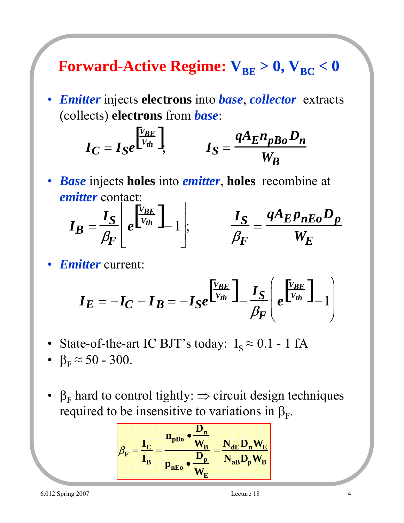**Forward-Active Regime:**  $V_{BE} > 0$ ,  $V_{BC} < 0$ 

• *Emitter* injects **electrons** into *base*, *collector* extracts (collects) **electrons** from *base*:

$$
I_C = I_S e^{\frac{\left[\frac{V_{BE}}{V_{th}}\right]}{1}}, \qquad I_S = \frac{qA_E n_{pBo} D_n}{W_B}
$$

• *Base* injects **holes** into *emitter*, **holes** recombine at *emitter* contact:

$$
I_B = \frac{I_S}{\beta_F} \left[ e^{\frac{V_{BE}}{V_{th}}} \right]_{-1} \left| , \n\right|_{\beta_F} = \frac{I_S}{\beta_F} = \frac{qA_E p_{nEo} D_p}{W_E}
$$

• *Emitter* current:

$$
I_E = -I_C - I_B = -I_S e^{\frac{V_{BE}}{V_{th}}} - \frac{I_S}{\beta_F} \left( e^{\frac{V_{BE}}{V_{th}}} - 1 \right)
$$

- State-of-the-art IC BJT's today:  $I_s \approx 0.1 1$  fA
- $\beta_F \approx 50 300$ .
- $\beta_F$  hard to control tightly:  $\Rightarrow$  circuit design techniques required to be insensitive to variations in  $\beta_F$ .

$$
\beta_F = \frac{I_C}{I_B} = \frac{n_{pBo} \cdot \frac{D_n}{W_B}}{p_{nEo} \cdot \frac{D_p}{W_E}} = \frac{N_{dE} D_n W_E}{N_{aB} D_p W_B}
$$

6.012 Spring 2007 Lecture 18 4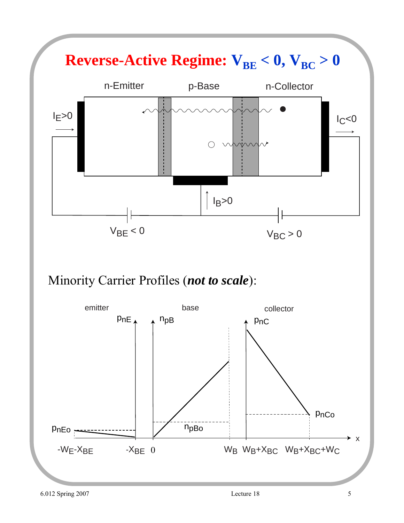

#### Minority Carrier Profiles (*not to scale*):

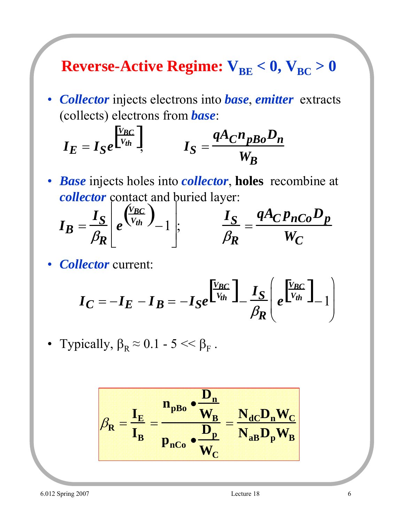### **Reverse-Active Regime:**  $V_{BE} < 0$ ,  $V_{BC} > 0$

• *Collector* injects electrons into *base*, *emitter* extracts (collects) electrons from *base*:

$$
I_E = I_S e^{\begin{bmatrix} V_{BC} \\ V_{th} \end{bmatrix}}, \qquad I_S = \frac{q A_C n_{pBo} D_n}{W_B}
$$

• *Base* injects holes into *collector*, **holes** recombine at *collector* contact and buried layer:

$$
I_B = \frac{I_S}{\beta_R} \left[ e^{\left(\frac{V_{BC}}{V_{th}}\right)} - 1 \right], \qquad \frac{I_S}{\beta_R} = \frac{qA_C p_{nCo} D_p}{W_C}
$$

• *Collector* current:

$$
I_C = -I_E - I_B = -I_S e^{\left[\frac{V_{BC}}{V_{th}}\right]} - \frac{I_S}{\beta_R} \left(e^{\left[\frac{V_{BC}}{V_{th}}\right]} - 1\right)
$$

• Typically,  $\beta_R \approx 0.1 - 5 \ll \beta_F$ .

$$
\beta_R = \frac{I_E}{I_B} = \frac{n_{pBo} \cdot \frac{D_n}{W_B}}{p_{nCo} \cdot \frac{D_p}{W_C}} = \frac{N_{dC} D_n W_C}{N_{aB} D_p W_B}
$$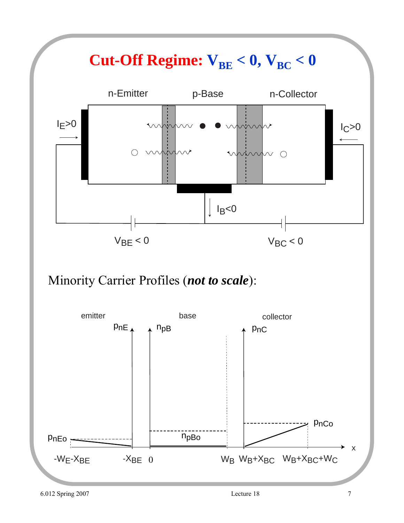

Minority Carrier Profiles (*not to scale*):

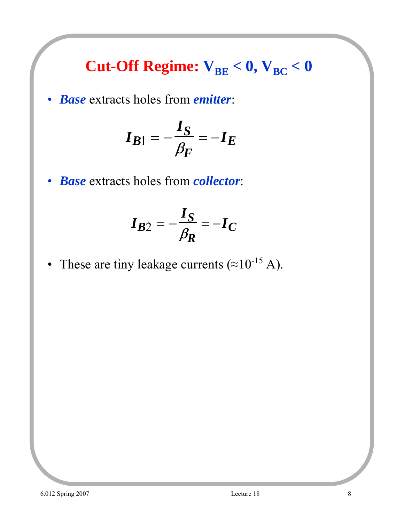### **Cut-Off Regime:**  $V_{BE} < 0$ ,  $V_{BC} < 0$

• *Base* extracts holes from *emitter*:

$$
I_{B1} = -\frac{I_S}{\beta_F} = -I_E
$$

• *Base* extracts holes from *collector*:

$$
I_{B2} = -\frac{I_S}{\beta_R} = -I_C
$$

• These are tiny leakage currents ( $\approx 10^{-15}$  A).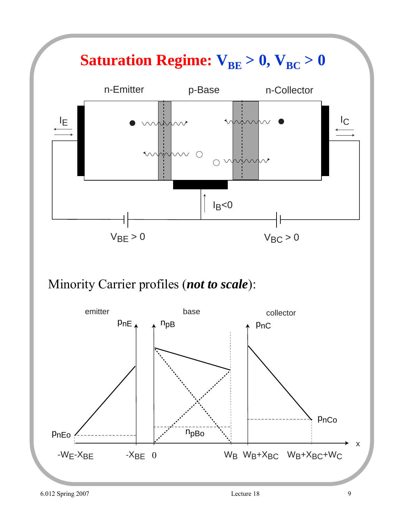

Minority Carrier profiles (*not to scale*):

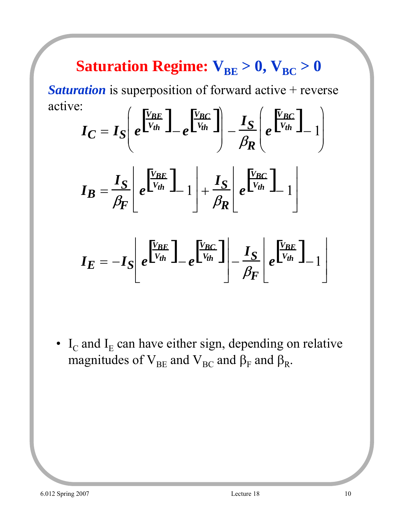## **Saturation Regime:**  $V_{BE} > 0$ ,  $V_{BC} > 0$

**Saturation** is superposition of forward active + reverse active:

$$
I_C = I_S \left(e^{\frac{V_{BE}}{V_{th}}} - e^{\frac{V_{BC}}{V_{th}}} \right) - \frac{I_S}{\beta_R} \left(e^{\frac{V_{BC}}{V_{th}}} - 1\right)
$$

$$
\boldsymbol{I_B} = \frac{\boldsymbol{I_S}}{\beta_F} \left[ e^{\frac{\boldsymbol{V_{BE}}}{\boldsymbol{V_{th}}}} \boldsymbol{I}_{-1} \right] + \frac{\boldsymbol{I_S}}{\beta_R} \left[ e^{\frac{\boldsymbol{V_{BC}}}{\boldsymbol{V_{th}}}} \boldsymbol{I}_{-1} \right]
$$

$$
I_E = -I_S \left[ e^{\frac{V_{BE}}{V_{th}}} \right]_{-e} \left[ \frac{V_{BC}}{V_{th}} \right]_{-} \frac{I_S}{\beta_F} \left[ e^{\frac{V_{BE}}{V_{th}}} \right]_{-1} \right]
$$

•  $I_c$  and  $I_E$  can have either sign, depending on relative magnitudes of  $V_{BE}$  and  $V_{BC}$  and  $\beta_F$  and  $\beta_R$ .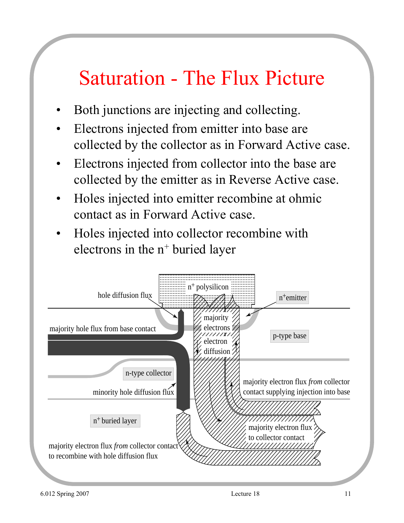# Saturation - The Flux Picture

- Both junctions are injecting and collecting.
- Electrons injected from emitter into base are collected by the collector as in Forward Active case.
- Electrons injected from collector into the base are collected by the emitter as in Reverse Active case.
- Holes injected into emitter recombine at ohmic contact as in Forward Active case.
- Holes injected into collector recombine with electrons in the  $n^+$  buried layer

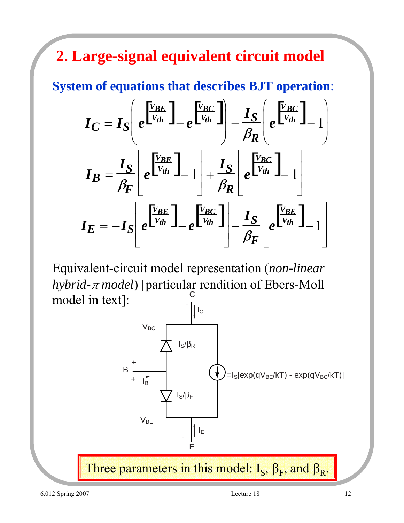**2. Large-signal equivalent circuit model**

**System of equations that describes BJT operation**:

$$
I_C = I_S \left( e^{\frac{V_{BE}}{V_{th}}} \right) - e^{\frac{V_{BC}}{V_{th}}} \right) - \frac{I_S}{\beta_R} \left( e^{\frac{V_{BC}}{V_{th}}} \right) - 1
$$
\n
$$
I_B = \frac{I_S}{\beta_F} \left[ e^{\frac{V_{BE}}{V_{th}}} \right] - 1 \left| + \frac{I_S}{\beta_R} \right| e^{\frac{V_{BC}}{V_{th}}} \right] - 1
$$
\n
$$
I_E = -I_S \left[ e^{\frac{V_{BE}}{V_{th}}} \right] - e^{\frac{V_{BC}}{V_{th}}} \left| - \frac{I_S}{\beta_F} \right| e^{\frac{V_{BE}}{V_{th}}} \left| -1 \right|
$$

Equivalent-circuit model representation (*non-linear hybrid-*<sup>π</sup> *model*) [particular rendition of Ebers-Moll model in text]: C -

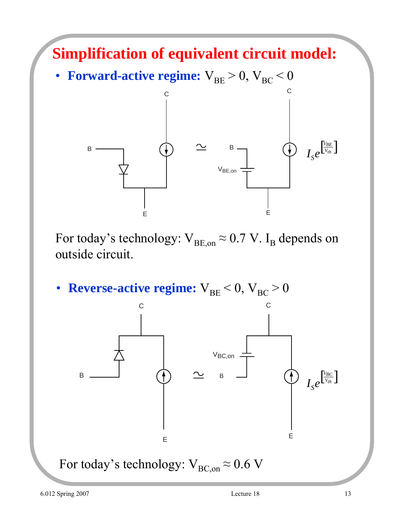

For today's technology:  $V_{BE,on} \approx 0.7$  V. I<sub>B</sub> depends on outside circuit.

• **Reverse-active regime:**  $V_{BE} < 0$ ,  $V_{BC} > 0$ 

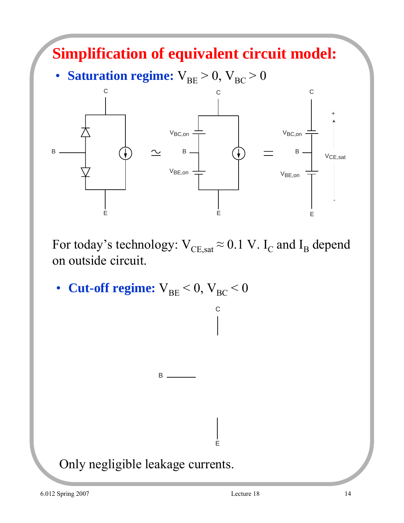

For today's technology:  $V_{CE,sat} \approx 0.1$  V. I<sub>C</sub> and I<sub>B</sub> depend on outside circuit.

C

E

• **Cut-off regime:**  $V_{BE} < 0$ ,  $V_{BC} < 0$ 

 $B \_$ 

Only negligible leakage currents.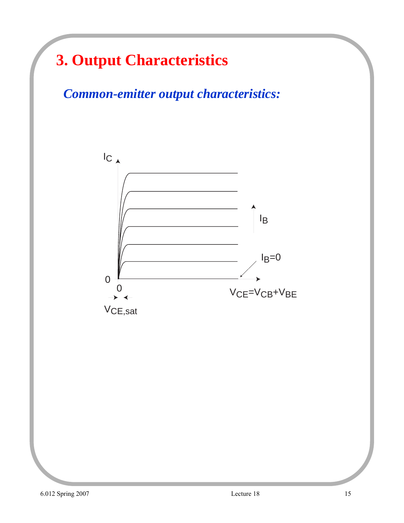### **3. Output Characteristics**

*Common-emitter output characteristics:*

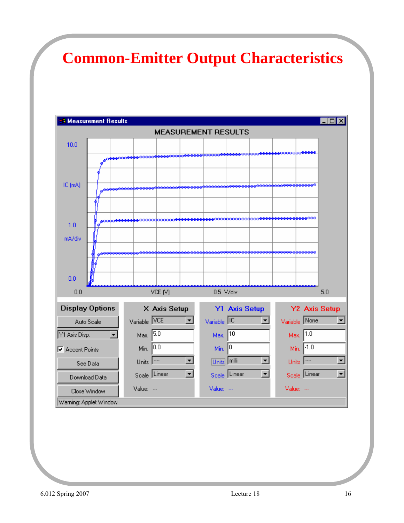### **Common-Emitter Output Characteristics**